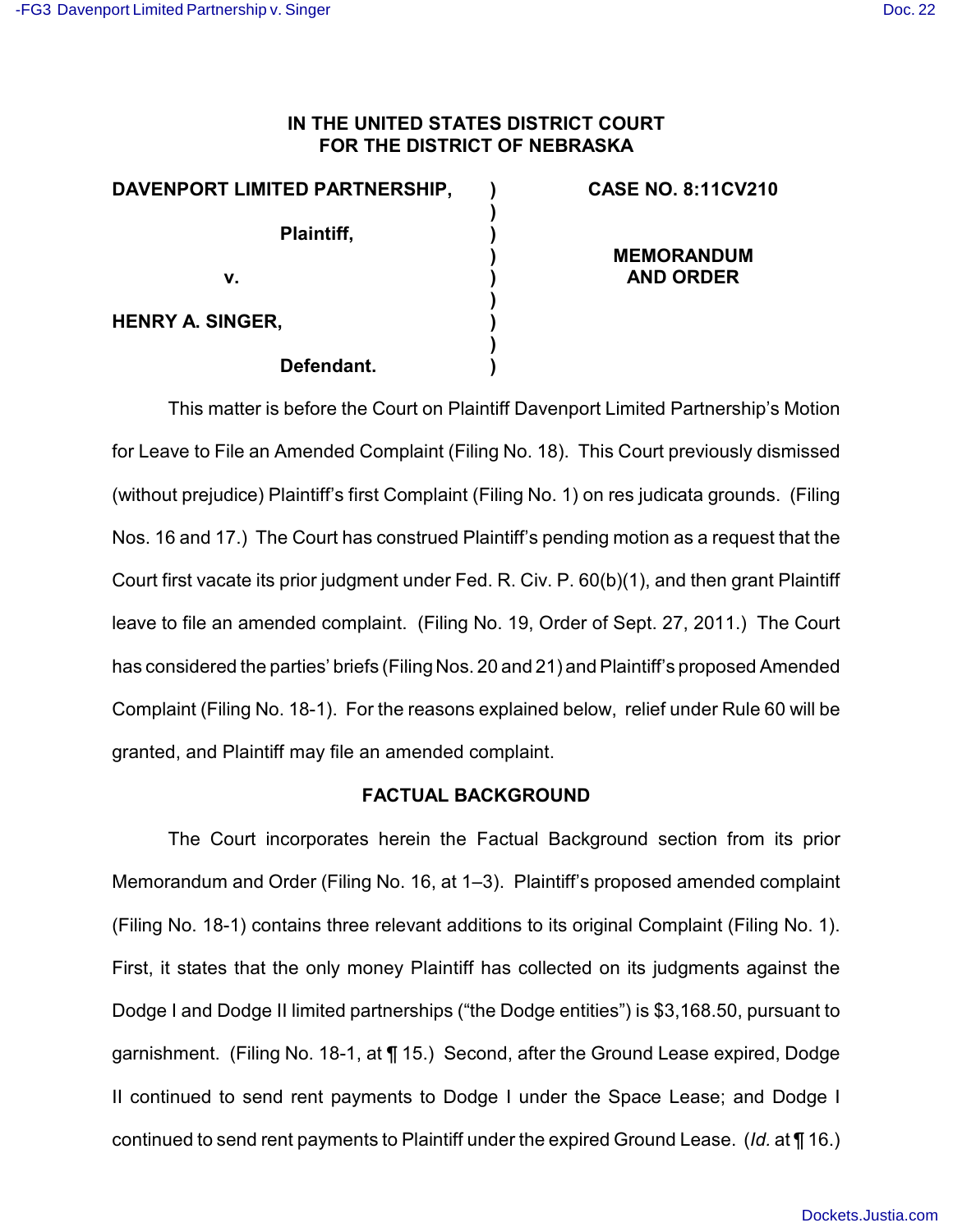## **IN THE UNITED STATES DISTRICT COURT FOR THE DISTRICT OF NEBRASKA**

**) ) ) ) ) ) ) ) )**

| DAVENPORT LIMITED PARTNERSHIP, |  |
|--------------------------------|--|
|--------------------------------|--|

**Plaintiff,**

**v.**

**CASE NO. 8:11CV210**

**MEMORANDUM AND ORDER**

**HENRY A. SINGER,**

## **Defendant.**

This matter is before the Court on Plaintiff Davenport Limited Partnership's Motion for Leave to File an Amended Complaint (Filing No. 18). This Court previously dismissed (without prejudice) Plaintiff's first Complaint (Filing No. 1) on res judicata grounds. (Filing Nos. 16 and 17.) The Court has construed Plaintiff's pending motion as a request that the Court first vacate its prior judgment under Fed. R. Civ. P. 60(b)(1), and then grant Plaintiff leave to file an amended complaint. (Filing No. 19, Order of Sept. 27, 2011.) The Court has considered the parties' briefs (Filing Nos. 20 and 21) and Plaintiff's proposed Amended Complaint (Filing No. 18-1). For the reasons explained below, relief under Rule 60 will be granted, and Plaintiff may file an amended complaint.

## **FACTUAL BACKGROUND**

The Court incorporates herein the Factual Background section from its prior Memorandum and Order (Filing No. 16, at 1–3). Plaintiff's proposed amended complaint (Filing No. 18-1) contains three relevant additions to its original Complaint (Filing No. 1). First, it states that the only money Plaintiff has collected on its judgments against the Dodge I and Dodge II limited partnerships ("the Dodge entities") is \$3,168.50, pursuant to garnishment. (Filing No. 18-1, at ¶ 15.) Second, after the Ground Lease expired, Dodge II continued to send rent payments to Dodge I under the Space Lease; and Dodge I continued to send rent payments to Plaintiff under the expired Ground Lease. (*Id.* at ¶ 16.)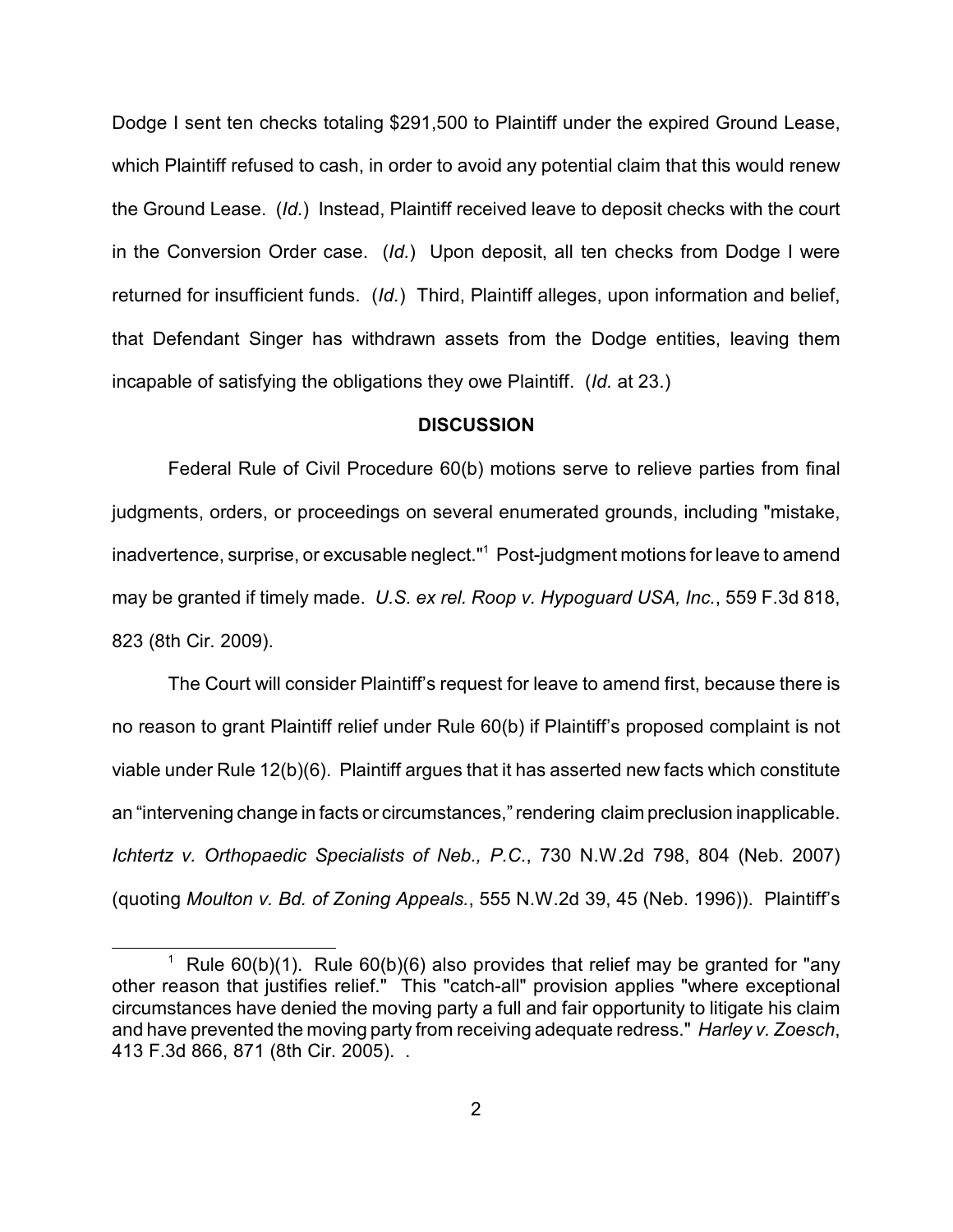Dodge I sent ten checks totaling \$291,500 to Plaintiff under the expired Ground Lease, which Plaintiff refused to cash, in order to avoid any potential claim that this would renew the Ground Lease. (*Id.*) Instead, Plaintiff received leave to deposit checks with the court in the Conversion Order case. (*Id.*) Upon deposit, all ten checks from Dodge I were returned for insufficient funds. (*Id.*) Third, Plaintiff alleges, upon information and belief, that Defendant Singer has withdrawn assets from the Dodge entities, leaving them incapable of satisfying the obligations they owe Plaintiff. (*Id.* at 23.)

## **DISCUSSION**

Federal Rule of Civil Procedure 60(b) motions serve to relieve parties from final judgments, orders, or proceedings on several enumerated grounds, including "mistake, inadvertence, surprise, or excusable neglect."<sup>1</sup> Post-judgment motions for leave to amend may be granted if timely made. *U.S. ex rel. Roop v. Hypoguard USA, Inc.*, 559 F.3d 818, 823 (8th Cir. 2009).

The Court will consider Plaintiff's request for leave to amend first, because there is no reason to grant Plaintiff relief under Rule 60(b) if Plaintiff's proposed complaint is not viable under Rule 12(b)(6). Plaintiff argues that it has asserted new facts which constitute an "intervening change in facts or circumstances,"rendering claim preclusion inapplicable. *Ichtertz v. Orthopaedic Specialists of Neb., P.C.*, 730 N.W.2d 798, 804 (Neb. 2007) (quoting *Moulton v. Bd. of Zoning Appeals.*, 555 N.W.2d 39, 45 (Neb. 1996)). Plaintiff's

<sup>&</sup>lt;sup>1</sup> Rule 60(b)(1). Rule 60(b)(6) also provides that relief may be granted for "any other reason that justifies relief." This "catch-all" provision applies "where exceptional circumstances have denied the moving party a full and fair opportunity to litigate his claim and have prevented the moving party from receiving adequate redress." *Harley v. Zoesch*, 413 F.3d 866, 871 (8th Cir. 2005). .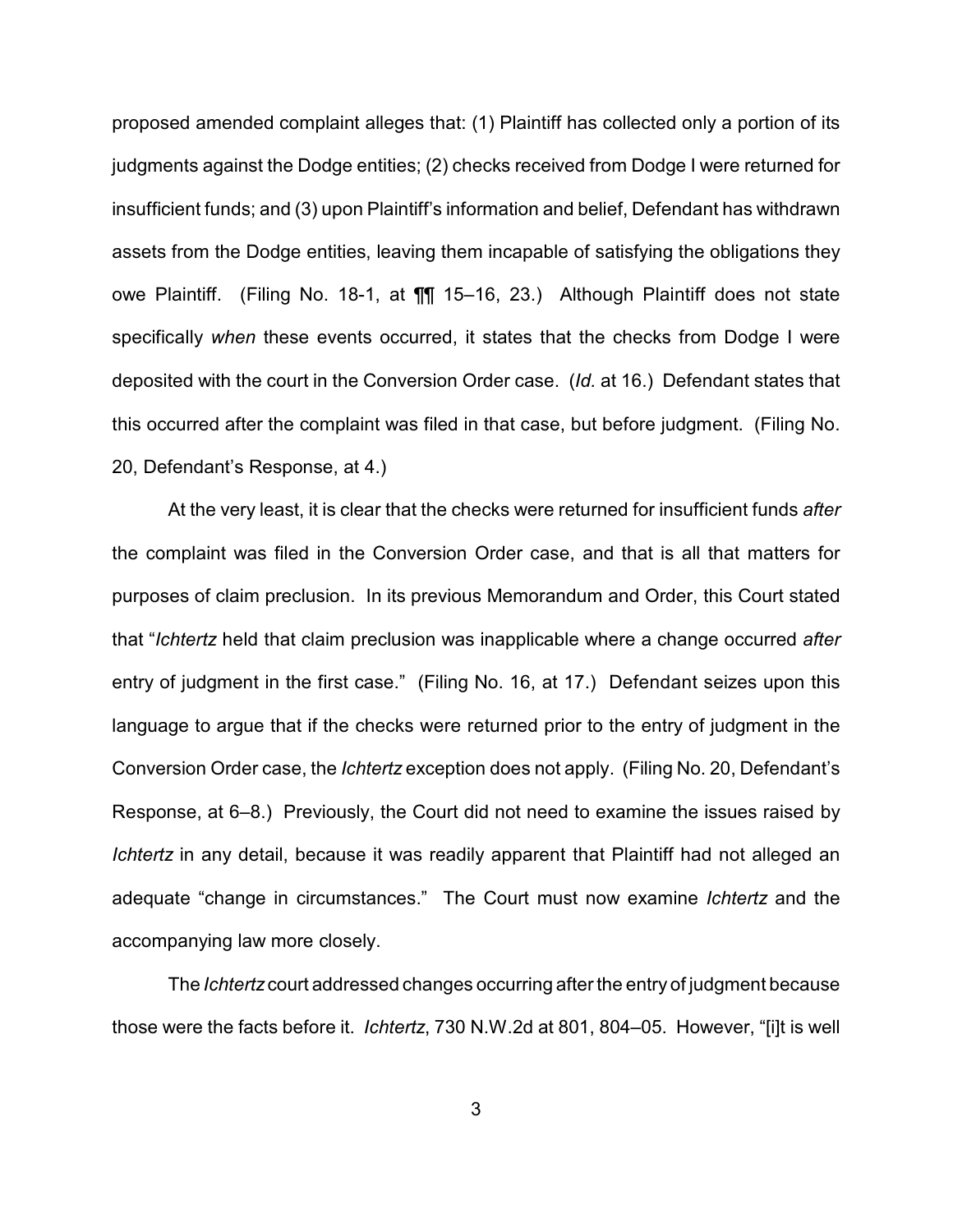proposed amended complaint alleges that: (1) Plaintiff has collected only a portion of its judgments against the Dodge entities; (2) checks received from Dodge I were returned for insufficient funds; and (3) upon Plaintiff's information and belief, Defendant has withdrawn assets from the Dodge entities, leaving them incapable of satisfying the obligations they owe Plaintiff. (Filing No. 18-1, at ¶¶ 15–16, 23.) Although Plaintiff does not state specifically *when* these events occurred, it states that the checks from Dodge I were deposited with the court in the Conversion Order case. (*Id.* at 16.) Defendant states that this occurred after the complaint was filed in that case, but before judgment. (Filing No. 20, Defendant's Response, at 4.)

At the very least, it is clear that the checks were returned for insufficient funds *after* the complaint was filed in the Conversion Order case, and that is all that matters for purposes of claim preclusion. In its previous Memorandum and Order, this Court stated that "*Ichtertz* held that claim preclusion was inapplicable where a change occurred *after* entry of judgment in the first case." (Filing No. 16, at 17.) Defendant seizes upon this language to argue that if the checks were returned prior to the entry of judgment in the Conversion Order case, the *Ichtertz* exception does not apply. (Filing No. 20, Defendant's Response, at 6–8.) Previously, the Court did not need to examine the issues raised by *Ichtertz* in any detail, because it was readily apparent that Plaintiff had not alleged an adequate "change in circumstances." The Court must now examine *Ichtertz* and the accompanying law more closely.

The *Ichtertz* court addressed changes occurring after the entry of judgment because those were the facts before it. *Ichtertz*, 730 N.W.2d at 801, 804–05. However, "[i]t is well

3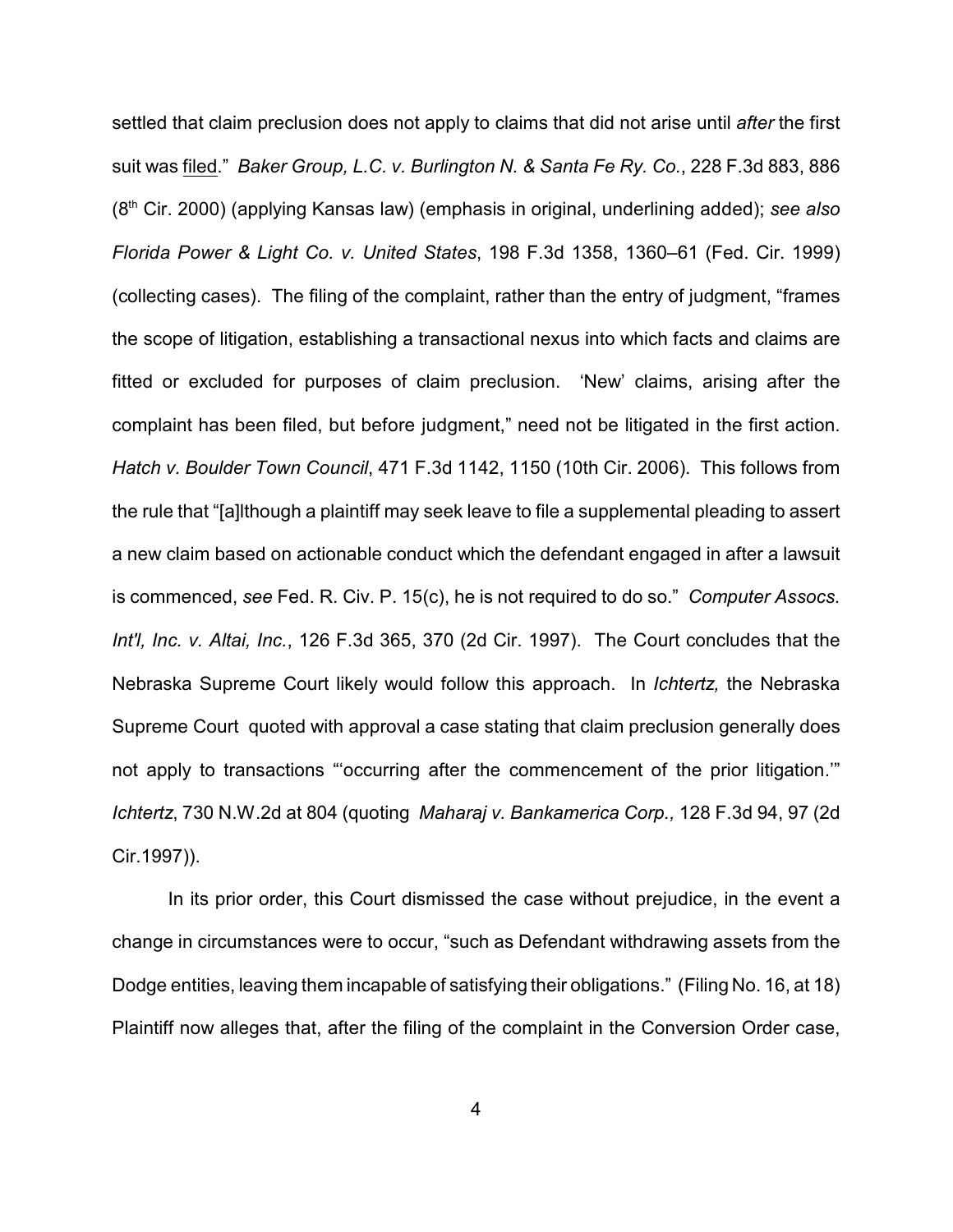settled that claim preclusion does not apply to claims that did not arise until *after* the first suit was filed." *Baker Group, L.C. v. Burlington N. & Santa Fe Ry. Co.*, 228 F.3d 883, 886 (8<sup>th</sup> Cir. 2000) (applying Kansas law) (emphasis in original, underlining added); see also *Florida Power & Light Co. v. United States*, 198 F.3d 1358, 1360–61 (Fed. Cir. 1999) (collecting cases). The filing of the complaint, rather than the entry of judgment, "frames the scope of litigation, establishing a transactional nexus into which facts and claims are fitted or excluded for purposes of claim preclusion. 'New' claims, arising after the complaint has been filed, but before judgment," need not be litigated in the first action. *Hatch v. Boulder Town Council*, 471 F.3d 1142, 1150 (10th Cir. 2006). This follows from the rule that "[a]lthough a plaintiff may seek leave to file a supplemental pleading to assert a new claim based on actionable conduct which the defendant engaged in after a lawsuit is commenced, *see* Fed. R. Civ. P. 15(c), he is not required to do so." *Computer Assocs. Int'l, Inc. v. Altai, Inc.*, 126 F.3d 365, 370 (2d Cir. 1997). The Court concludes that the Nebraska Supreme Court likely would follow this approach. In *Ichtertz,* the Nebraska Supreme Court quoted with approval a case stating that claim preclusion generally does not apply to transactions "'occurring after the commencement of the prior litigation.'" *Ichtertz*, 730 N.W.2d at 804 (quoting *Maharaj v. Bankamerica Corp.,* 128 F.3d 94, 97 (2d Cir.1997)).

In its prior order, this Court dismissed the case without prejudice, in the event a change in circumstances were to occur, "such as Defendant withdrawing assets from the Dodge entities, leaving them incapable of satisfying their obligations." (Filing No. 16, at 18) Plaintiff now alleges that, after the filing of the complaint in the Conversion Order case,

4